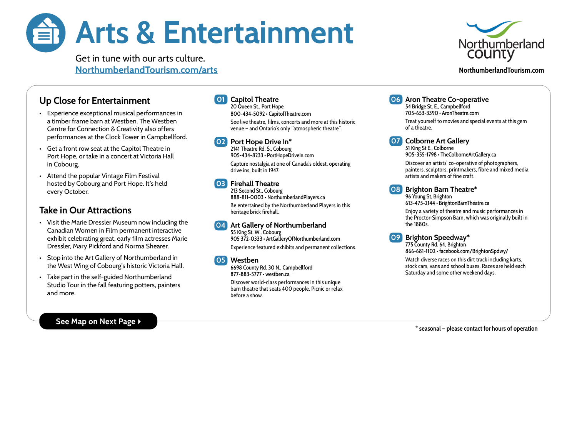# Arts & Entertainment



Get in tune with our arts culture. [NorthumberlandTourism.com/arts](http://NorthumberlandTourism.com/beaches)

#### **NorthumberlandTourism.com**

# Up Close for Entertainment

- Experience exceptional musical performances in a timber frame barn at Westben. The Westben Centre for Connection & Creativity also offers performances at the Clock Tower in Campbellford.
- Get a front row seat at the Capitol Theatre in Port Hope, or take in a concert at Victoria Hall in Cobourg.
- Attend the popular Vintage Film Festival hosted by Cobourg and Port Hope. It's held every October.

# Take in Our Attractions

- Visit the Marie Dressler Museum now including the Canadian Women in Film permanent interactive exhibit celebrating great, early film actresses Marie Dressler, Mary Pickford and Norma Shearer.
- Stop into the Art Gallery of Northumberland in the West Wing of Cobourg's historic Victoria Hall.
- Take part in the self-guided Northumberland Studio Tour in the fall featuring potters, painters and more.

#### See Map on Next Page ▶

# 01 Capitol Theatre

20 Queen St., Port Hope 800-434-5092 • [CapitolTheatre.com](http://CapitolTheatre.com) See live theatre, films, concerts and more at this historic venue — and Ontario's only "atmospheric theatre".

#### 02 Port Hope Drive In\* 2141 Theatre Rd. S., Cobourg

905-434-8233 · [PortHopeDriveIn.com](http://PortHopeDriveIn.com) Capture nostalgia at one of Canada's oldest, operating

drive ins, built in 1947.

### 03 Firehall Theatre

213 Second St., Cobourg 888-811-0003 • [NorthumberlandPlayers.ca](http://NorthumberlandPlayers.ca) Be entertained by the Northumberland Players in this heritage brick firehall.

#### 04 Art Gallery of Northumberland

55 King St. W., Cobourg 905 372-0333 • [ArtGalleryOfNorthumberland.com](http://ArtGalleryOfNorthumberland.com) Experience featured exhibits and permanent collections.

#### 05 Westben

6698 County Rd. 30 N., Campbellford 877-883-5777 • [westben.ca](http://westben.ca)

Discover world-class performances in this unique barn theatre that seats 400 people. Picnic or relax before a show.

## **06** Aron Theatre Co-operative

54 Bridge St. E., Campbellford 705-653-3390 • [AronTheatre.com](http://AronTheatre.com) Treat yourself to movies and special events at this gem of a theatre.

**07** Colborne Art Gallery

51 King St E., Colborne 905-355-1798 • [TheColborneArtGallery.ca](http://thecolborneartgallery.ca)

Discover an artists' co-operative of photographers, painters, sculptors, printmakers, fibre and mixed media artists and makers of fine craft.

## 08 Brighton Barn Theatre\*

96 Young St, Brighton 613-475-2144 • [BrightonBarnTheatre.ca](http://brightonbarntheatre.ca)

Enjoy a variety of theatre and music performances in the Proctor-Simpson Barn, which was originally built in the 1880s.

#### 09 Brighton Speedway\*

775 County Rd. 64, Brighton 866-681-1102 •<facebook.com/BrightonSpdwy/>

Watch diverse races on this dirt track including karts, stock cars, vans and school buses. Races are held each Saturday and some other weekend days.

**\* seasonal — please contact for hours of operation**